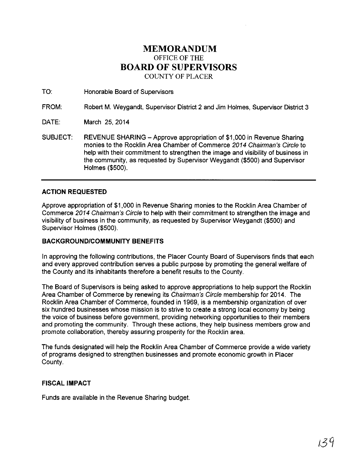# **MEMORANDUM**  OFFICE OF THE **BOARD OF SUPERVISORS**  COUNTY OF PLACER

TO: Honorable Board of Supervisors

FROM: Robert M. Weygandt, Supervisor District 2 and Jim Holmes, Supervisor District 3

DATE: March 25, 2014

SUBJECT: REVENUE SHARING- Approve appropriation of \$1,000 in Revenue Sharing monies to the Rocklin Area Chamber of Commerce 2014 Chairman's Circle to help with their commitment to strengthen the image and visibility of business in the community, as requested by Supervisor Weygandt (\$500) and Supervisor Holmes (\$500).

### **ACTION REQUESTED**

Approve appropriation of \$1,000 in Revenue Sharing monies to the Rocklin Area Chamber of Commerce 2014 Chairman's Circle to help with their commitment to strengthen the image and visibility of business in the community, as requested by Supervisor Weygandt (\$500) and Supervisor Holmes (\$500).

#### **BACKGROUND/COMMUNITY BENEFITS**

In approving the following contributions, the Placer County Board of Supervisors finds that each and every approved contribution serves a public purpose by promoting the general welfare of the County and its inhabitants therefore a benefit results to the County.

The Board of Supervisors is being asked to approve appropriations to help support the Rocklin Area Chamber of Commerce by renewing its Chairman's Circle membership for 2014. The Rocklin Area Chamber of Commerce, founded in 1969, is a membership organization of over six hundred businesses whose mission is to strive to create a strong local economy by being the voice of business before government, providing networking opportunities to their members and promoting the community. Through these actions, they help business members grow and promote collaboration, thereby assuring prosperity for the Rocklin area.

The funds designated will help the Rocklin Area Chamber of Commerce provide a wide variety of programs designed to strengthen businesses and promote economic growth in Placer County.

#### **FISCAL IMPACT**

Funds are available in the Revenue Sharing budget.